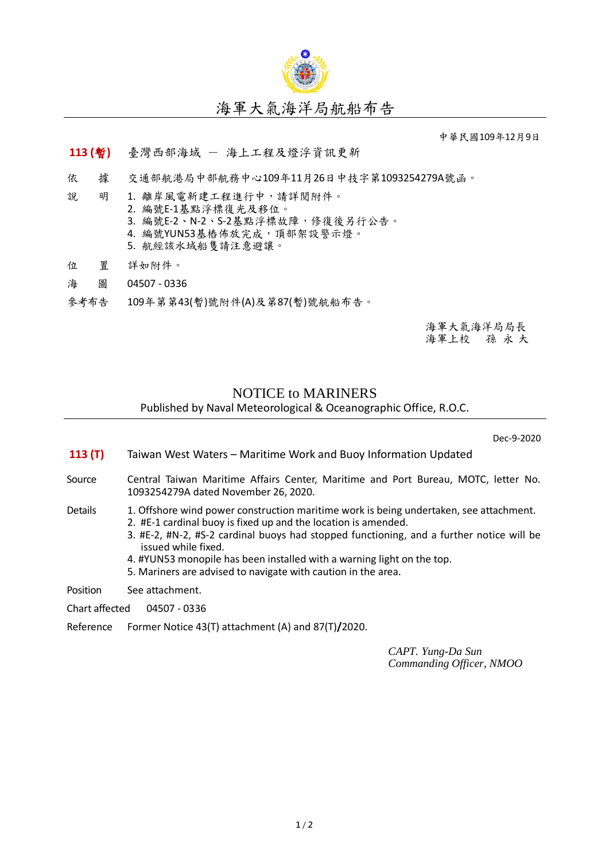

# 海軍大氣海洋局航船布告

中華民國109年12月9日

### **113 (**暫**)** 臺灣西部海域 - 海上工程及燈浮資訊更新

依 據 交通部航港局中部航務中心109年11月26日中技字第1093254279A號函。

- 說 明 1. 離岸風電新建工程進行中,請詳閱附件。
	- 2. 編號E-1基點浮標復光及移位。
		- 3. 編號E-2、N-2、S-2基點浮標故障,修復後另行公告。
	- 4. 編號YUN53基樁佈放完成, 頂部架設警示燈。
	- 5. 航經該水域船隻請注意避讓。
- 位 置 詳如附件。
- 海 圖 04507 0336
- 參考布告 109年第第43(暫)號附件(A)及第87(暫)號航船布告。

海軍大氣海洋局局長 海軍上校 孫 永 大

### NOTICE to MARINERS

Published by Naval Meteorological & Oceanographic Office, R.O.C.

Dec-9-2020

- **113 (T)** Taiwan West Waters Maritime Work and Buoy Information Updated
- Source Central Taiwan Maritime Affairs Center, Maritime and Port Bureau, MOTC, letter No. 1093254279A dated November 26, 2020.

#### Details 1. Offshore wind power construction maritime work is being undertaken, see attachment.

- 2. #E-1 cardinal buoy is fixed up and the location is amended.
- 3. #E-2, #N-2, #S-2 cardinal buoys had stopped functioning, and a further notice will be issued while fixed.
- 4. #YUN53 monopile has been installed with a warning light on the top.
- 5. Mariners are advised to navigate with caution in the area.

Position See attachment.

- Chart affected 04507 0336
- Reference Former Notice 43(T) attachment (A) and 87(T)**/**2020.

*CAPT. Yung-Da Sun Commanding Officer, NMOO*